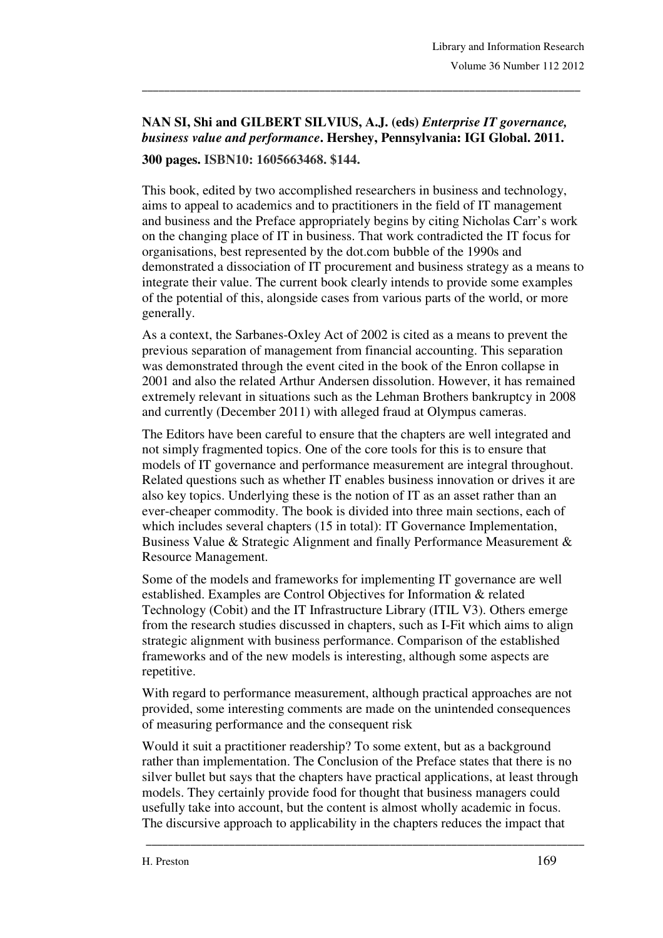## **NAN SI, Shi and GILBERT SILVIUS, A.J. (eds)** *Enterprise IT governance, business value and performance***. Hershey, Pennsylvania: IGI Global. 2011. 300 pages. ISBN10: 1605663468. \$144.**

\_\_\_\_\_\_\_\_\_\_\_\_\_\_\_\_\_\_\_\_\_\_\_\_\_\_\_\_\_\_\_\_\_\_\_\_\_\_\_\_\_\_\_\_\_\_\_\_\_\_\_\_\_\_\_\_\_\_\_\_\_\_\_\_\_\_\_\_\_\_\_\_\_\_\_\_\_\_\_

This book, edited by two accomplished researchers in business and technology, aims to appeal to academics and to practitioners in the field of IT management and business and the Preface appropriately begins by citing Nicholas Carr's work on the changing place of IT in business. That work contradicted the IT focus for organisations, best represented by the dot.com bubble of the 1990s and demonstrated a dissociation of IT procurement and business strategy as a means to integrate their value. The current book clearly intends to provide some examples of the potential of this, alongside cases from various parts of the world, or more generally.

As a context, the Sarbanes-Oxley Act of 2002 is cited as a means to prevent the previous separation of management from financial accounting. This separation was demonstrated through the event cited in the book of the Enron collapse in 2001 and also the related Arthur Andersen dissolution. However, it has remained extremely relevant in situations such as the Lehman Brothers bankruptcy in 2008 and currently (December 2011) with alleged fraud at Olympus cameras.

The Editors have been careful to ensure that the chapters are well integrated and not simply fragmented topics. One of the core tools for this is to ensure that models of IT governance and performance measurement are integral throughout. Related questions such as whether IT enables business innovation or drives it are also key topics. Underlying these is the notion of IT as an asset rather than an ever-cheaper commodity. The book is divided into three main sections, each of which includes several chapters (15 in total): IT Governance Implementation, Business Value & Strategic Alignment and finally Performance Measurement & Resource Management.

Some of the models and frameworks for implementing IT governance are well established. Examples are Control Objectives for Information & related Technology (Cobit) and the IT Infrastructure Library (ITIL V3). Others emerge from the research studies discussed in chapters, such as I-Fit which aims to align strategic alignment with business performance. Comparison of the established frameworks and of the new models is interesting, although some aspects are repetitive.

With regard to performance measurement, although practical approaches are not provided, some interesting comments are made on the unintended consequences of measuring performance and the consequent risk

Would it suit a practitioner readership? To some extent, but as a background rather than implementation. The Conclusion of the Preface states that there is no silver bullet but says that the chapters have practical applications, at least through models. They certainly provide food for thought that business managers could usefully take into account, but the content is almost wholly academic in focus. The discursive approach to applicability in the chapters reduces the impact that

\_\_\_\_\_\_\_\_\_\_\_\_\_\_\_\_\_\_\_\_\_\_\_\_\_\_\_\_\_\_\_\_\_\_\_\_\_\_\_\_\_\_\_\_\_\_\_\_\_\_\_\_\_\_\_\_\_\_\_\_\_\_\_\_\_\_\_\_\_\_\_\_\_\_\_\_\_\_\_